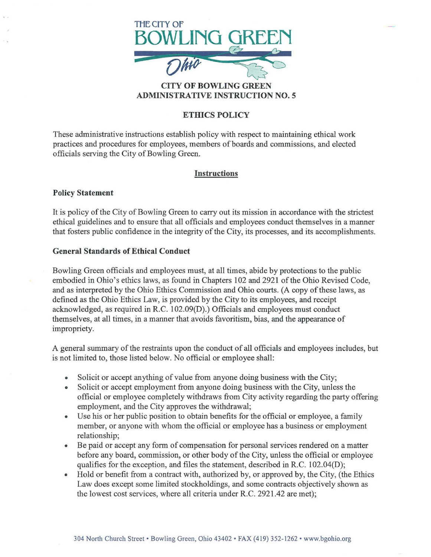

### CITY OF BOWLING ADMINISTRATIVE INSTRUCTION NO.5

# ETHICS POLICY

These administrative instructions establish policy with respect to maintaining ethical work practices and procedures for employees, members of boards and commissions, and elected officials serving the City of Bowling Green.

# Instructions

## Policy Statement

It is policy of the City of Bowling Green to carry out its mission in accordance with the strictest ethical guidelines and to ensure that all officials and employees conduct themselves in a manner that fosters public confidence in the integrity of the City, its processes, and its accomplishments.

## General Standards of Ethical Conduct

Bowling Green officials and employees must, at all times, abide by protections to the public embodied in Ohio's ethics laws, as found in Chapters 102 and 2921 of the Ohio Revised Code, and as interpreted by the Ohio Ethics Commission and Ohio courts. (A copy of these laws, as defined as the Ohio Ethics Law, is provided by the City to its employees, and receipt acknowledged, as required in R.C. 102.09(D).) Officials and employees must conduct themselves, at all times, in a manner that avoids favoritism, bias, and the appearance of impropriety.

A general summary of the restraints upon the conduct of all officials and employees includes, but is not limited to, those listed below. No official or employee shall:

- Solicit or accept anything of value from anyone doing business with the City;
- Solicit or accept employment from anyone doing business with the City, unless the official or employee completely withdraws from City activity regarding the party offering employment, and the City approves the withdrawal;
- Use his or her public position to obtain benefits for the official or employee, a family member, or anyone with whom the official or employee has a business or employment relationship;
- Be paid or accept any form of compensation for personal services rendered on a matter before any board, commission, or other body of the City, unless the official or employee qualifies for the exception, and files the statement, described in R.C. 102.04(D);
- Hold or benefit from a contract with, authorized by, or approved by, the City, (the Ethics Law does except some limited stockholdings, and some contracts objectively shown as the lowest cost services, where all criteria under R.C. 2921.42 are met);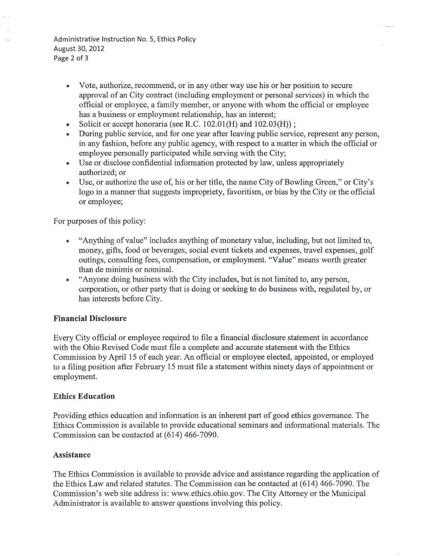Administrative Instruction No. 5, Ethics Policy August 30, 2012 Page 2 of 3

- Vote, authorize, recommend, or in any other way use his or her position to secure approval of an City contract (including employment or personal services) in which the official or employee, a family member, or anyone with whom the official or employee has a business or employment relationship, has an interest;
- Solicit or accept honoraria (see R.C.  $102.01(H)$  and  $102.03(H)$ );
- During public service, and for one year after leaving public service, represent any person, in any fashion, before any public agency, with respect to a matter in which the official or employee personally participated while serving with the City;
- Use or disclose confidential information protected by law, unless appropriately authorized; or
- Use, or authorize the use of, his or her title, the name City of Bowling Green," or City's logo in a manner that suggests impropriety, favoritism, or bias by the City or the official or employee;

For purposes of this policy:

- "Anything of value" includes anything of monetary value, including, but not limited to, money, gifts, food or beverages, social event tickets and expenses, travel expenses, golf outings, consulting fees, compensation, or employment. "Value" means worth greater than de minimis or nominal.
- "Anyone doing business with the City includes, but is not limited to, any person, corporation, or other party that is doing or seeking to do business with, regulated by, or has interests before City.

### Financial Disclosure

Every City official or employee required to file a financial disclosure statement in accordance with the Ohio Revised Code must file a complete and accurate statement with the Ethics Commission by April 15 of each year. An official or employee elected, appointed, or employed to a filing position after February 15 must file a statement within ninety days of appointment or employment.

### Ethics Education

Providing ethics education and information is an inherent part of good ethics governance. The Ethics Commission is available to provide educational seminars and informational materials. The Commission can be contacted at (614) 466-7090.

### Assistance

The Ethics Commission is available to provide advice and assistance regarding the application of the Ethics Law and related statutes. The Commission can be contacted at (614) 466-7090. The Commission's web site address is: www.ethics.ohio.gov. The City Attorney or the Municipal Administrator is available to answer questions involving this policy.